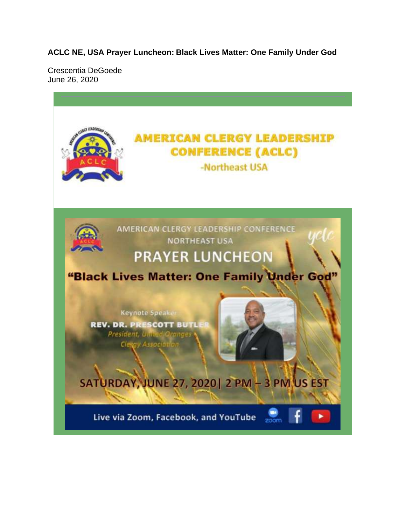**ACLC NE, USA Prayer Luncheon: Black Lives Matter: One Family Under God** 

Crescentia DeGoede June 26, 2020

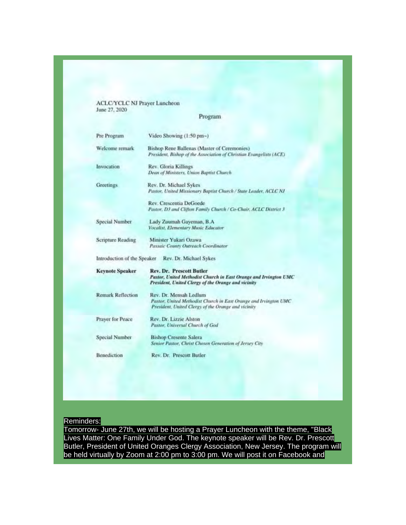ACLC/YCLC NJ Prayer Luncheon<br>June 27, 2020

Program

| Pre Program              | Video Showing (1:50 pm~)                                                                                                                                   |
|--------------------------|------------------------------------------------------------------------------------------------------------------------------------------------------------|
| Welcome remark           | <b>Bishop Rene Ballenas (Master of Ceremonies)</b><br>President, Bishop of the Association of Christian Evangelists (ACE)                                  |
| Invocation               | Rev. Gloria Killings<br>Dean of Ministers, Union Baptist Church                                                                                            |
| <b>Greetings</b>         | Rev. Dr. Michael Sykes<br>Pastor, United Missionary Baptist Church / State Leader, ACLC NJ                                                                 |
|                          | Rev. Crescentia DeGoede<br>Pastor, D3 and Clifton Family Church / Co-Chair, ACLC District 3                                                                |
| Special Number           | Lady Zuumah Gayeman, B.A.<br>Vocalist, Elementary Music Educator                                                                                           |
| Scripture Reading        | Minister Yukari Ozawa<br>Passaic County Outreach Coordinator                                                                                               |
|                          | Introduction of the Speaker Rev. Dr. Michael Sykes                                                                                                         |
| <b>Keynote Speaker</b>   | <b>Rev. Dr. Prescott Butler</b><br>Pastor, United Methodist Church in East Orange and Irvington UMC<br>President, United Clergy of the Orange and vicinity |
| <b>Remark Reflection</b> | Rev. Dr. Mensah Ledlum<br>Pastor, United Methodist Church in East Orange and Irvington UMC<br>President, United Clergy of the Orange and vicinity          |
| Prayer for Peace         | Rev. Dr. Lizzie Alston<br>Pastor, Universal Church of God                                                                                                  |
| Special Number           | <b>Bishop Cresente Salera</b><br>Senior Pastor, Christ Chosen Generation of Jersey City                                                                    |
| Benediction              | Rev. Dr. Prescott Butler                                                                                                                                   |

## Reminders:

Tomorrow- June 27th, we will be hosting a Prayer Luncheon with the theme, "Black<br>Lives Matter: One Family Under God. The keynote speaker will be Rev. Dr. Prescott<br>Butler, President of United Oranges Clergy Association, New be held virtually by Zoom at 2:00 pm to 3:00 pm. We will post it on Facebook and